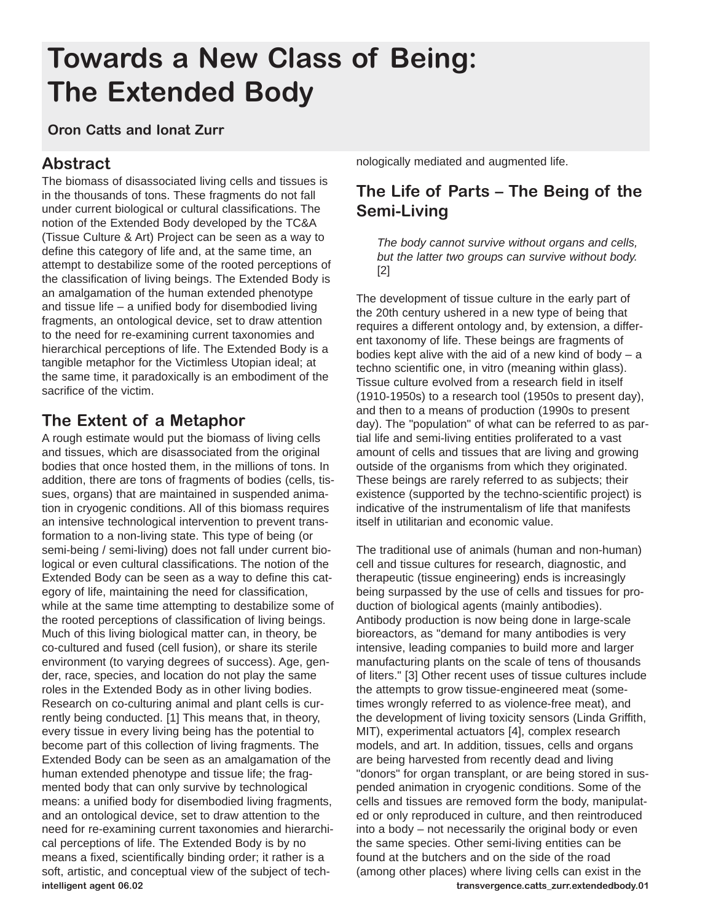# **Towards a New Class of Being: The Extended Body**

#### **Oron Catts and Ionat Zurr**

## **Abstract**

The biomass of disassociated living cells and tissues is in the thousands of tons. These fragments do not fall under current biological or cultural classifications. The notion of the Extended Body developed by the TC&A (Tissue Culture & Art) Project can be seen as a way to define this category of life and, at the same time, an attempt to destabilize some of the rooted perceptions of the classification of living beings. The Extended Body is an amalgamation of the human extended phenotype and tissue life – a unified body for disembodied living fragments, an ontological device, set to draw attention to the need for re-examining current taxonomies and hierarchical perceptions of life. The Extended Body is a tangible metaphor for the Victimless Utopian ideal; at the same time, it paradoxically is an embodiment of the sacrifice of the victim.

# **The Extent of a Metaphor**

A rough estimate would put the biomass of living cells and tissues, which are disassociated from the original bodies that once hosted them, in the millions of tons. In addition, there are tons of fragments of bodies (cells, tissues, organs) that are maintained in suspended animation in cryogenic conditions. All of this biomass requires an intensive technological intervention to prevent transformation to a non-living state. This type of being (or semi-being / semi-living) does not fall under current biological or even cultural classifications. The notion of the Extended Body can be seen as a way to define this category of life, maintaining the need for classification, while at the same time attempting to destabilize some of the rooted perceptions of classification of living beings. Much of this living biological matter can, in theory, be co-cultured and fused (cell fusion), or share its sterile environment (to varying degrees of success). Age, gender, race, species, and location do not play the same roles in the Extended Body as in other living bodies. Research on co-culturing animal and plant cells is currently being conducted. [1] This means that, in theory, every tissue in every living being has the potential to become part of this collection of living fragments. The Extended Body can be seen as an amalgamation of the human extended phenotype and tissue life; the fragmented body that can only survive by technological means: a unified body for disembodied living fragments, and an ontological device, set to draw attention to the need for re-examining current taxonomies and hierarchical perceptions of life. The Extended Body is by no means a fixed, scientifically binding order; it rather is a soft, artistic, and conceptual view of the subject of tech**intelligent agent 06.02**

nologically mediated and augmented life.

# **The Life of Parts – The Being of the Semi-Living**

*The body cannot survive without organs and cells, but the latter two groups can survive without body.* [2]

The development of tissue culture in the early part of the 20th century ushered in a new type of being that requires a different ontology and, by extension, a different taxonomy of life. These beings are fragments of bodies kept alive with the aid of a new kind of body  $-$  a techno scientific one, in vitro (meaning within glass). Tissue culture evolved from a research field in itself (1910-1950s) to a research tool (1950s to present day), and then to a means of production (1990s to present day). The "population" of what can be referred to as partial life and semi-living entities proliferated to a vast amount of cells and tissues that are living and growing outside of the organisms from which they originated. These beings are rarely referred to as subjects; their existence (supported by the techno-scientific project) is indicative of the instrumentalism of life that manifests itself in utilitarian and economic value.

The traditional use of animals (human and non-human) cell and tissue cultures for research, diagnostic, and therapeutic (tissue engineering) ends is increasingly being surpassed by the use of cells and tissues for production of biological agents (mainly antibodies). Antibody production is now being done in large-scale bioreactors, as "demand for many antibodies is very intensive, leading companies to build more and larger manufacturing plants on the scale of tens of thousands of liters." [3] Other recent uses of tissue cultures include the attempts to grow tissue-engineered meat (sometimes wrongly referred to as violence-free meat), and the development of living toxicity sensors (Linda Griffith, MIT), experimental actuators [4], complex research models, and art. In addition, tissues, cells and organs are being harvested from recently dead and living "donors" for organ transplant, or are being stored in suspended animation in cryogenic conditions. Some of the cells and tissues are removed form the body, manipulated or only reproduced in culture, and then reintroduced into a body – not necessarily the original body or even the same species. Other semi-living entities can be found at the butchers and on the side of the road (among other places) where living cells can exist in the **transvergence.catts\_zurr.extendedbody.01**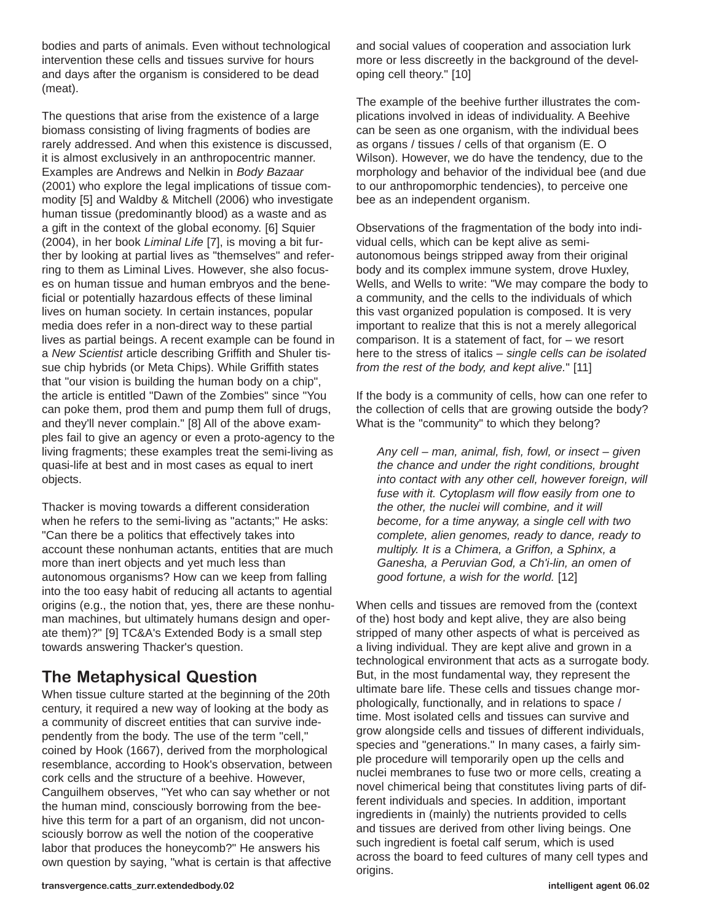bodies and parts of animals. Even without technological intervention these cells and tissues survive for hours and days after the organism is considered to be dead (meat).

The questions that arise from the existence of a large biomass consisting of living fragments of bodies are rarely addressed. And when this existence is discussed, it is almost exclusively in an anthropocentric manner. Examples are Andrews and Nelkin in *Body Bazaar* (2001) who explore the legal implications of tissue commodity [5] and Waldby & Mitchell (2006) who investigate human tissue (predominantly blood) as a waste and as a gift in the context of the global economy. [6] Squier (2004), in her book *Liminal Life* [7], is moving a bit further by looking at partial lives as "themselves" and referring to them as Liminal Lives. However, she also focuses on human tissue and human embryos and the beneficial or potentially hazardous effects of these liminal lives on human society. In certain instances, popular media does refer in a non-direct way to these partial lives as partial beings. A recent example can be found in a *New Scientist* article describing Griffith and Shuler tissue chip hybrids (or Meta Chips). While Griffith states that "our vision is building the human body on a chip", the article is entitled "Dawn of the Zombies" since "You can poke them, prod them and pump them full of drugs, and they'll never complain." [8] All of the above examples fail to give an agency or even a proto-agency to the living fragments; these examples treat the semi-living as quasi-life at best and in most cases as equal to inert objects.

Thacker is moving towards a different consideration when he refers to the semi-living as "actants;" He asks: "Can there be a politics that effectively takes into account these nonhuman actants, entities that are much more than inert objects and yet much less than autonomous organisms? How can we keep from falling into the too easy habit of reducing all actants to agential origins (e.g., the notion that, yes, there are these nonhuman machines, but ultimately humans design and operate them)?" [9] TC&A's Extended Body is a small step towards answering Thacker's question.

### **The Metaphysical Question**

When tissue culture started at the beginning of the 20th century, it required a new way of looking at the body as a community of discreet entities that can survive independently from the body. The use of the term "cell," coined by Hook (1667), derived from the morphological resemblance, according to Hook's observation, between cork cells and the structure of a beehive. However, Canguilhem observes, "Yet who can say whether or not the human mind, consciously borrowing from the beehive this term for a part of an organism, did not unconsciously borrow as well the notion of the cooperative labor that produces the honeycomb?" He answers his own question by saying, "what is certain is that affective and social values of cooperation and association lurk more or less discreetly in the background of the developing cell theory." [10]

The example of the beehive further illustrates the complications involved in ideas of individuality. A Beehive can be seen as one organism, with the individual bees as organs / tissues / cells of that organism (E. O Wilson). However, we do have the tendency, due to the morphology and behavior of the individual bee (and due to our anthropomorphic tendencies), to perceive one bee as an independent organism.

Observations of the fragmentation of the body into individual cells, which can be kept alive as semiautonomous beings stripped away from their original body and its complex immune system, drove Huxley, Wells, and Wells to write: "We may compare the body to a community, and the cells to the individuals of which this vast organized population is composed. It is very important to realize that this is not a merely allegorical comparison. It is a statement of fact, for – we resort here to the stress of italics – *single cells can be isolated from the rest of the body, and kept alive.*" [11]

If the body is a community of cells, how can one refer to the collection of cells that are growing outside the body? What is the "community" to which they belong?

*Any cell – man, animal, fish, fowl, or insect – given the chance and under the right conditions, brought into contact with any other cell, however foreign, will fuse with it. Cytoplasm will flow easily from one to the other, the nuclei will combine, and it will become, for a time anyway, a single cell with two complete, alien genomes, ready to dance, ready to multiply. It is a Chimera, a Griffon, a Sphinx, a Ganesha, a Peruvian God, a Ch'i-lin, an omen of good fortune, a wish for the world.* [12]

When cells and tissues are removed from the (context of the) host body and kept alive, they are also being stripped of many other aspects of what is perceived as a living individual. They are kept alive and grown in a technological environment that acts as a surrogate body. But, in the most fundamental way, they represent the ultimate bare life. These cells and tissues change morphologically, functionally, and in relations to space / time. Most isolated cells and tissues can survive and grow alongside cells and tissues of different individuals, species and "generations." In many cases, a fairly simple procedure will temporarily open up the cells and nuclei membranes to fuse two or more cells, creating a novel chimerical being that constitutes living parts of different individuals and species. In addition, important ingredients in (mainly) the nutrients provided to cells and tissues are derived from other living beings. One such ingredient is foetal calf serum, which is used across the board to feed cultures of many cell types and origins.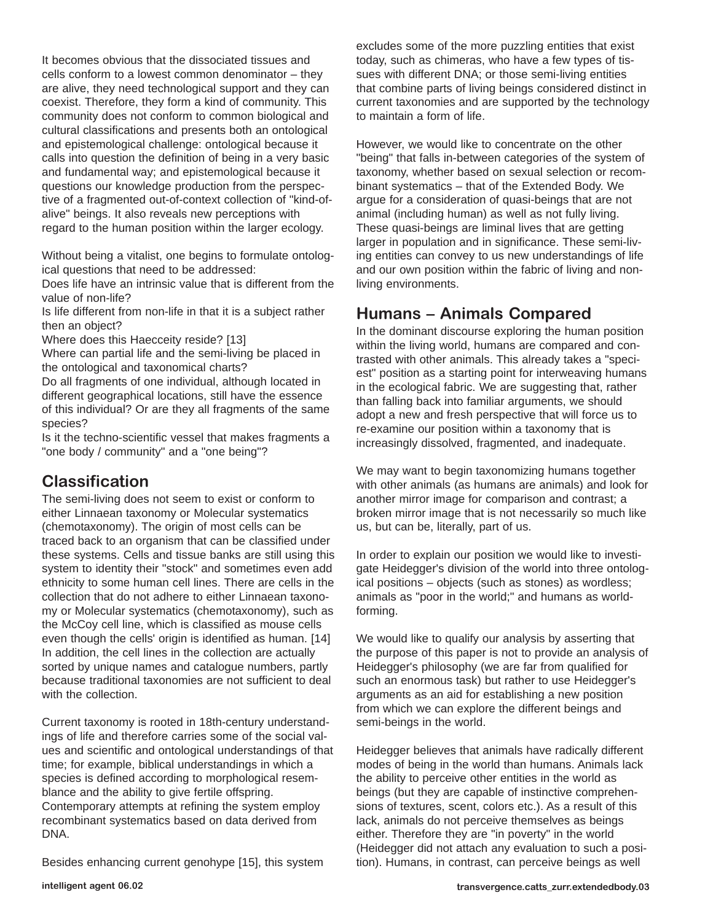It becomes obvious that the dissociated tissues and cells conform to a lowest common denominator – they are alive, they need technological support and they can coexist. Therefore, they form a kind of community. This community does not conform to common biological and cultural classifications and presents both an ontological and epistemological challenge: ontological because it calls into question the definition of being in a very basic and fundamental way; and epistemological because it questions our knowledge production from the perspective of a fragmented out-of-context collection of "kind-ofalive" beings. It also reveals new perceptions with regard to the human position within the larger ecology.

Without being a vitalist, one begins to formulate ontological questions that need to be addressed:

Does life have an intrinsic value that is different from the value of non-life?

Is life different from non-life in that it is a subject rather then an object?

Where does this Haecceity reside? [13]

Where can partial life and the semi-living be placed in the ontological and taxonomical charts?

Do all fragments of one individual, although located in different geographical locations, still have the essence of this individual? Or are they all fragments of the same species?

Is it the techno-scientific vessel that makes fragments a "one body / community" and a "one being"?

### **Classification**

The semi-living does not seem to exist or conform to either Linnaean taxonomy or Molecular systematics (chemotaxonomy). The origin of most cells can be traced back to an organism that can be classified under these systems. Cells and tissue banks are still using this system to identity their "stock" and sometimes even add ethnicity to some human cell lines. There are cells in the collection that do not adhere to either Linnaean taxonomy or Molecular systematics (chemotaxonomy), such as the McCoy cell line, which is classified as mouse cells even though the cells' origin is identified as human. [14] In addition, the cell lines in the collection are actually sorted by unique names and catalogue numbers, partly because traditional taxonomies are not sufficient to deal with the collection.

Current taxonomy is rooted in 18th-century understandings of life and therefore carries some of the social values and scientific and ontological understandings of that time; for example, biblical understandings in which a species is defined according to morphological resemblance and the ability to give fertile offspring. Contemporary attempts at refining the system employ recombinant systematics based on data derived from DNA.

Besides enhancing current genohype [15], this system

excludes some of the more puzzling entities that exist today, such as chimeras, who have a few types of tissues with different DNA; or those semi-living entities that combine parts of living beings considered distinct in current taxonomies and are supported by the technology to maintain a form of life.

However, we would like to concentrate on the other "being" that falls in-between categories of the system of taxonomy, whether based on sexual selection or recombinant systematics – that of the Extended Body. We argue for a consideration of quasi-beings that are not animal (including human) as well as not fully living. These quasi-beings are liminal lives that are getting larger in population and in significance. These semi-living entities can convey to us new understandings of life and our own position within the fabric of living and nonliving environments.

#### **Humans – Animals Compared**

In the dominant discourse exploring the human position within the living world, humans are compared and contrasted with other animals. This already takes a "speciest" position as a starting point for interweaving humans in the ecological fabric. We are suggesting that, rather than falling back into familiar arguments, we should adopt a new and fresh perspective that will force us to re-examine our position within a taxonomy that is increasingly dissolved, fragmented, and inadequate.

We may want to begin taxonomizing humans together with other animals (as humans are animals) and look for another mirror image for comparison and contrast; a broken mirror image that is not necessarily so much like us, but can be, literally, part of us.

In order to explain our position we would like to investigate Heidegger's division of the world into three ontological positions – objects (such as stones) as wordless; animals as "poor in the world;" and humans as worldforming.

We would like to qualify our analysis by asserting that the purpose of this paper is not to provide an analysis of Heidegger's philosophy (we are far from qualified for such an enormous task) but rather to use Heidegger's arguments as an aid for establishing a new position from which we can explore the different beings and semi-beings in the world.

Heidegger believes that animals have radically different modes of being in the world than humans. Animals lack the ability to perceive other entities in the world as beings (but they are capable of instinctive comprehensions of textures, scent, colors etc.). As a result of this lack, animals do not perceive themselves as beings either. Therefore they are "in poverty" in the world (Heidegger did not attach any evaluation to such a position). Humans, in contrast, can perceive beings as well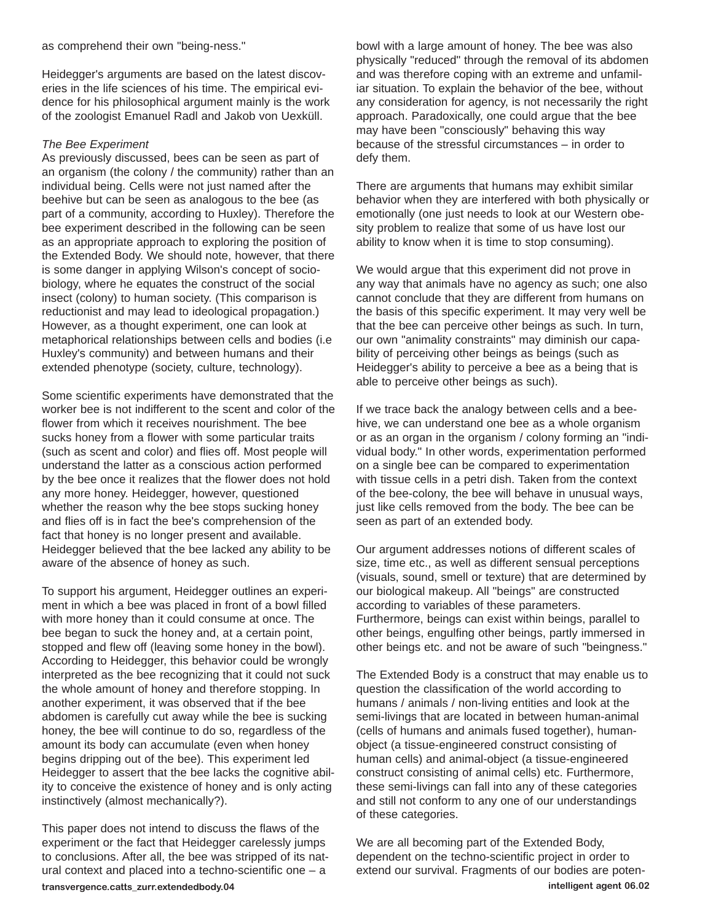Heidegger's arguments are based on the latest discoveries in the life sciences of his time. The empirical evidence for his philosophical argument mainly is the work of the zoologist Emanuel Radl and Jakob von Uexküll.

#### *The Bee Experiment*

As previously discussed, bees can be seen as part of an organism (the colony / the community) rather than an individual being. Cells were not just named after the beehive but can be seen as analogous to the bee (as part of a community, according to Huxley). Therefore the bee experiment described in the following can be seen as an appropriate approach to exploring the position of the Extended Body. We should note, however, that there is some danger in applying Wilson's concept of sociobiology, where he equates the construct of the social insect (colony) to human society. (This comparison is reductionist and may lead to ideological propagation.) However, as a thought experiment, one can look at metaphorical relationships between cells and bodies (i.e Huxley's community) and between humans and their extended phenotype (society, culture, technology).

Some scientific experiments have demonstrated that the worker bee is not indifferent to the scent and color of the flower from which it receives nourishment. The bee sucks honey from a flower with some particular traits (such as scent and color) and flies off. Most people will understand the latter as a conscious action performed by the bee once it realizes that the flower does not hold any more honey. Heidegger, however, questioned whether the reason why the bee stops sucking honey and flies off is in fact the bee's comprehension of the fact that honey is no longer present and available. Heidegger believed that the bee lacked any ability to be aware of the absence of honey as such.

To support his argument, Heidegger outlines an experiment in which a bee was placed in front of a bowl filled with more honey than it could consume at once. The bee began to suck the honey and, at a certain point, stopped and flew off (leaving some honey in the bowl). According to Heidegger, this behavior could be wrongly interpreted as the bee recognizing that it could not suck the whole amount of honey and therefore stopping. In another experiment, it was observed that if the bee abdomen is carefully cut away while the bee is sucking honey, the bee will continue to do so, regardless of the amount its body can accumulate (even when honey begins dripping out of the bee). This experiment led Heidegger to assert that the bee lacks the cognitive ability to conceive the existence of honey and is only acting instinctively (almost mechanically?).

This paper does not intend to discuss the flaws of the experiment or the fact that Heidegger carelessly jumps to conclusions. After all, the bee was stripped of its natural context and placed into a techno-scientific one – a

bowl with a large amount of honey. The bee was also physically "reduced" through the removal of its abdomen and was therefore coping with an extreme and unfamiliar situation. To explain the behavior of the bee, without any consideration for agency, is not necessarily the right approach. Paradoxically, one could argue that the bee may have been "consciously" behaving this way because of the stressful circumstances – in order to defy them.

There are arguments that humans may exhibit similar behavior when they are interfered with both physically or emotionally (one just needs to look at our Western obesity problem to realize that some of us have lost our ability to know when it is time to stop consuming).

We would argue that this experiment did not prove in any way that animals have no agency as such; one also cannot conclude that they are different from humans on the basis of this specific experiment. It may very well be that the bee can perceive other beings as such. In turn, our own "animality constraints" may diminish our capability of perceiving other beings as beings (such as Heidegger's ability to perceive a bee as a being that is able to perceive other beings as such).

If we trace back the analogy between cells and a beehive, we can understand one bee as a whole organism or as an organ in the organism / colony forming an "individual body." In other words, experimentation performed on a single bee can be compared to experimentation with tissue cells in a petri dish. Taken from the context of the bee-colony, the bee will behave in unusual ways, just like cells removed from the body. The bee can be seen as part of an extended body.

Our argument addresses notions of different scales of size, time etc., as well as different sensual perceptions (visuals, sound, smell or texture) that are determined by our biological makeup. All "beings" are constructed according to variables of these parameters. Furthermore, beings can exist within beings, parallel to other beings, engulfing other beings, partly immersed in other beings etc. and not be aware of such "beingness."

The Extended Body is a construct that may enable us to question the classification of the world according to humans / animals / non-living entities and look at the semi-livings that are located in between human-animal (cells of humans and animals fused together), humanobject (a tissue-engineered construct consisting of human cells) and animal-object (a tissue-engineered construct consisting of animal cells) etc. Furthermore, these semi-livings can fall into any of these categories and still not conform to any one of our understandings of these categories.

We are all becoming part of the Extended Body, dependent on the techno-scientific project in order to extend our survival. Fragments of our bodies are poten**transvergence.catts\_zurr.extendedbody.04 intelligent agent 06.02**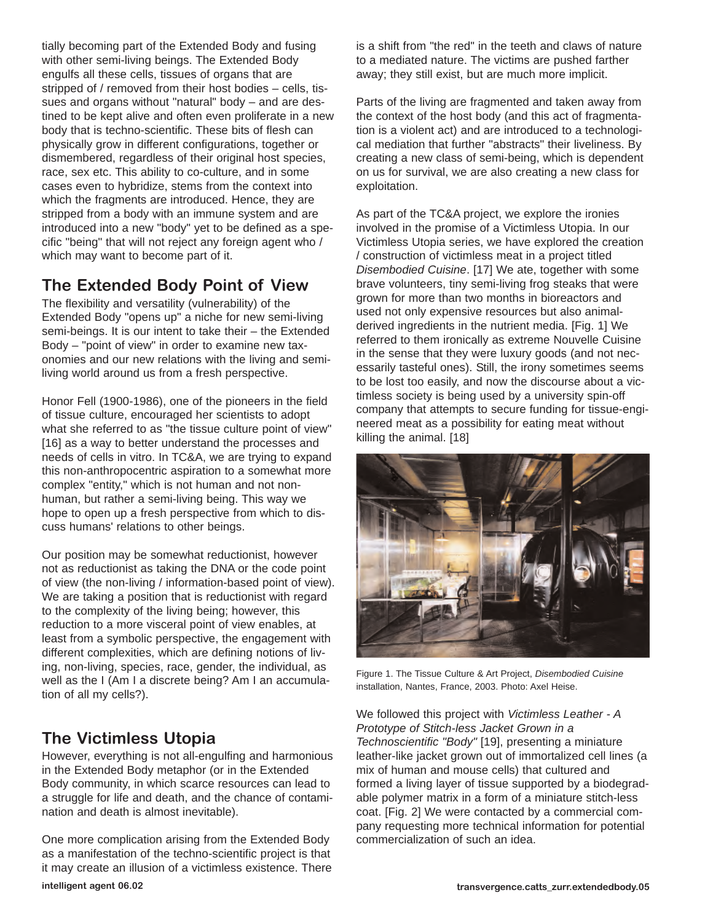tially becoming part of the Extended Body and fusing with other semi-living beings. The Extended Body engulfs all these cells, tissues of organs that are stripped of / removed from their host bodies – cells, tissues and organs without "natural" body – and are destined to be kept alive and often even proliferate in a new body that is techno-scientific. These bits of flesh can physically grow in different configurations, together or dismembered, regardless of their original host species, race, sex etc. This ability to co-culture, and in some cases even to hybridize, stems from the context into which the fragments are introduced. Hence, they are stripped from a body with an immune system and are introduced into a new "body" yet to be defined as a specific "being" that will not reject any foreign agent who / which may want to become part of it.

## **The Extended Body Point of View**

The flexibility and versatility (vulnerability) of the Extended Body "opens up" a niche for new semi-living semi-beings. It is our intent to take their – the Extended Body – "point of view" in order to examine new taxonomies and our new relations with the living and semiliving world around us from a fresh perspective.

Honor Fell (1900-1986), one of the pioneers in the field of tissue culture, encouraged her scientists to adopt what she referred to as "the tissue culture point of view" [16] as a way to better understand the processes and needs of cells in vitro. In TC&A, we are trying to expand this non-anthropocentric aspiration to a somewhat more complex "entity," which is not human and not nonhuman, but rather a semi-living being. This way we hope to open up a fresh perspective from which to discuss humans' relations to other beings.

Our position may be somewhat reductionist, however not as reductionist as taking the DNA or the code point of view (the non-living / information-based point of view). We are taking a position that is reductionist with regard to the complexity of the living being; however, this reduction to a more visceral point of view enables, at least from a symbolic perspective, the engagement with different complexities, which are defining notions of living, non-living, species, race, gender, the individual, as well as the I (Am I a discrete being? Am I an accumulation of all my cells?).

### **The Victimless Utopia**

However, everything is not all-engulfing and harmonious in the Extended Body metaphor (or in the Extended Body community, in which scarce resources can lead to a struggle for life and death, and the chance of contamination and death is almost inevitable).

One more complication arising from the Extended Body as a manifestation of the techno-scientific project is that it may create an illusion of a victimless existence. There is a shift from "the red" in the teeth and claws of nature to a mediated nature. The victims are pushed farther away; they still exist, but are much more implicit.

Parts of the living are fragmented and taken away from the context of the host body (and this act of fragmentation is a violent act) and are introduced to a technological mediation that further "abstracts" their liveliness. By creating a new class of semi-being, which is dependent on us for survival, we are also creating a new class for exploitation.

As part of the TC&A project, we explore the ironies involved in the promise of a Victimless Utopia. In our Victimless Utopia series, we have explored the creation / construction of victimless meat in a project titled *Disembodied Cuisine*. [17] We ate, together with some brave volunteers, tiny semi-living frog steaks that were grown for more than two months in bioreactors and used not only expensive resources but also animalderived ingredients in the nutrient media. [Fig. 1] We referred to them ironically as extreme Nouvelle Cuisine in the sense that they were luxury goods (and not necessarily tasteful ones). Still, the irony sometimes seems to be lost too easily, and now the discourse about a victimless society is being used by a university spin-off company that attempts to secure funding for tissue-engineered meat as a possibility for eating meat without killing the animal. [18]



Figure 1. The Tissue Culture & Art Project, *Disembodied Cuisine* installation, Nantes, France, 2003. Photo: Axel Heise.

We followed this project with *Victimless Leather - A Prototype of Stitch-less Jacket Grown in a Technoscientific "Body"* [19], presenting a miniature leather-like jacket grown out of immortalized cell lines (a mix of human and mouse cells) that cultured and formed a living layer of tissue supported by a biodegradable polymer matrix in a form of a miniature stitch-less coat. [Fig. 2] We were contacted by a commercial company requesting more technical information for potential commercialization of such an idea.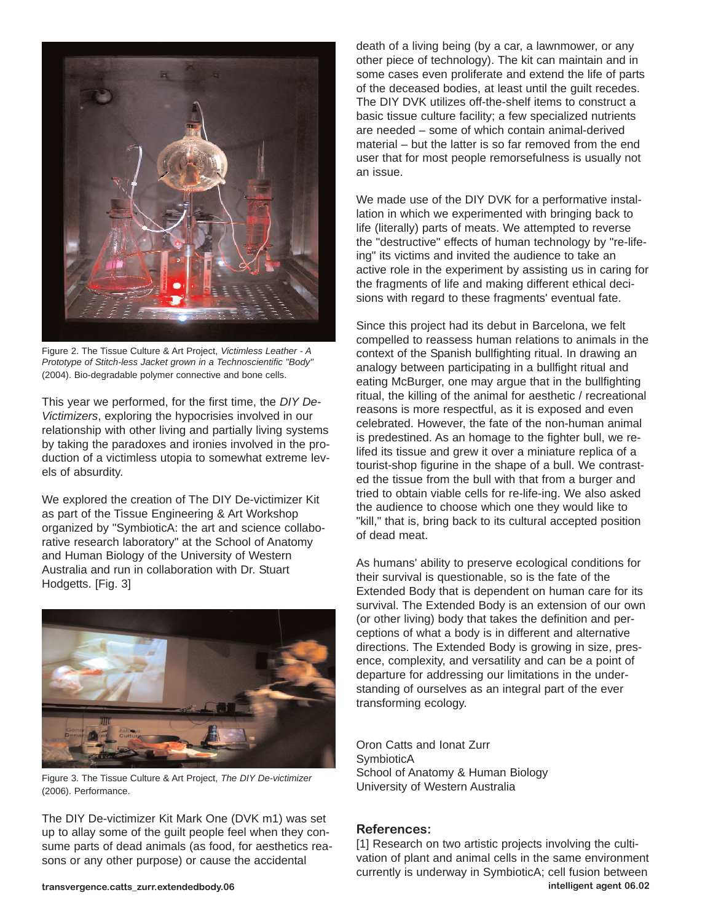

Figure 2. The Tissue Culture & Art Project, *Victimless Leather - A Prototype of Stitch-less Jacket grown in a Technoscientific "Body"* (2004). Bio-degradable polymer connective and bone cells.

This year we performed, for the first time, the *DIY De-Victimizers*, exploring the hypocrisies involved in our relationship with other living and partially living systems by taking the paradoxes and ironies involved in the production of a victimless utopia to somewhat extreme levels of absurdity.

We explored the creation of The DIY De-victimizer Kit as part of the Tissue Engineering & Art Workshop organized by "SymbioticA: the art and science collaborative research laboratory" at the School of Anatomy and Human Biology of the University of Western Australia and run in collaboration with Dr. Stuart Hodgetts. [Fig. 3]



Figure 3. The Tissue Culture & Art Project, *The DIY De-victimizer* (2006). Performance.

The DIY De-victimizer Kit Mark One (DVK m1) was set up to allay some of the guilt people feel when they consume parts of dead animals (as food, for aesthetics reasons or any other purpose) or cause the accidental

death of a living being (by a car, a lawnmower, or any other piece of technology). The kit can maintain and in some cases even proliferate and extend the life of parts of the deceased bodies, at least until the guilt recedes. The DIY DVK utilizes off-the-shelf items to construct a basic tissue culture facility; a few specialized nutrients are needed – some of which contain animal-derived material – but the latter is so far removed from the end user that for most people remorsefulness is usually not an issue.

We made use of the DIY DVK for a performative installation in which we experimented with bringing back to life (literally) parts of meats. We attempted to reverse the "destructive" effects of human technology by "re-lifeing" its victims and invited the audience to take an active role in the experiment by assisting us in caring for the fragments of life and making different ethical decisions with regard to these fragments' eventual fate.

Since this project had its debut in Barcelona, we felt compelled to reassess human relations to animals in the context of the Spanish bullfighting ritual. In drawing an analogy between participating in a bullfight ritual and eating McBurger, one may argue that in the bullfighting ritual, the killing of the animal for aesthetic / recreational reasons is more respectful, as it is exposed and even celebrated. However, the fate of the non-human animal is predestined. As an homage to the fighter bull, we relifed its tissue and grew it over a miniature replica of a tourist-shop figurine in the shape of a bull. We contrasted the tissue from the bull with that from a burger and tried to obtain viable cells for re-life-ing. We also asked the audience to choose which one they would like to "kill," that is, bring back to its cultural accepted position of dead meat.

As humans' ability to preserve ecological conditions for their survival is questionable, so is the fate of the Extended Body that is dependent on human care for its survival. The Extended Body is an extension of our own (or other living) body that takes the definition and perceptions of what a body is in different and alternative directions. The Extended Body is growing in size, presence, complexity, and versatility and can be a point of departure for addressing our limitations in the understanding of ourselves as an integral part of the ever transforming ecology.

Oron Catts and Ionat Zurr **SymbioticA** School of Anatomy & Human Biology University of Western Australia

#### **References:**

[1] Research on two artistic projects involving the cultivation of plant and animal cells in the same environment currently is underway in SymbioticA; cell fusion between **transvergence.catts\_zurr.extendedbody.06 intelligent agent 06.02**